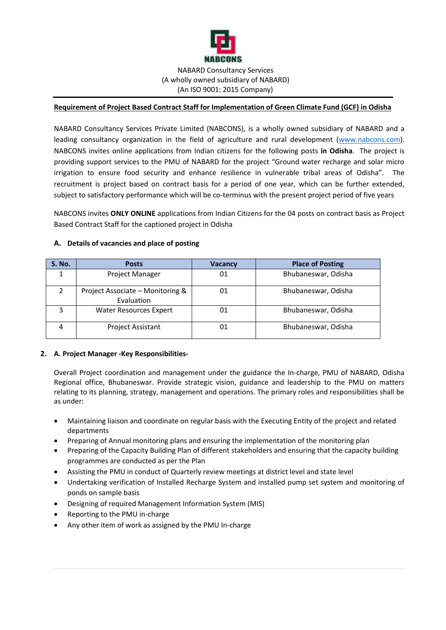

### **Requirement of Project Based Contract Staff for Implementation of Green Climate Fund (GCF) in Odisha**

NABARD Consultancy Services Private Limited (NABCONS), is a wholly owned subsidiary of NABARD and a leading consultancy organization in the field of agriculture and rural development [\(www.nabcons.com\)](http://www.nabcons.com/). NABCONS invites online applications from Indian citizens for the following posts **in Odisha**. The project is providing support services to the PMU of NABARD for the project "Ground water recharge and solar micro irrigation to ensure food security and enhance resilience in vulnerable tribal areas of Odisha". The recruitment is project based on contract basis for a period of one year, which can be further extended, subject to satisfactory performance which will be co-terminus with the present project period of five years

NABCONS invites **ONLY ONLINE** applications from Indian Citizens for the 04 posts on contract basis as Project Based Contract Staff for the captioned project in Odisha

| <b>S. No.</b> | <b>Posts</b>                                   | <b>Vacancy</b> | <b>Place of Posting</b> |
|---------------|------------------------------------------------|----------------|-------------------------|
|               | Project Manager                                | 01             | Bhubaneswar, Odisha     |
| $\mathcal{P}$ | Project Associate - Monitoring &<br>Evaluation | 01             | Bhubaneswar, Odisha     |
| ົ             | Water Resources Expert                         | 01             | Bhubaneswar, Odisha     |
|               | <b>Project Assistant</b>                       | 01             | Bhubaneswar, Odisha     |

#### **A. Details of vacancies and place of posting**

### **2. A. Project Manager -Key Responsibilities-**

Overall Project coordination and management under the guidance the In-charge, PMU of NABARD, Odisha Regional office, Bhubaneswar. Provide strategic vision, guidance and leadership to the PMU on matters relating to its planning, strategy, management and operations. The primary roles and responsibilities shall be as under:

- Maintaining liaison and coordinate on regular basis with the Executing Entity of the project and related departments
- Preparing of Annual monitoring plans and ensuring the implementation of the monitoring plan
- Preparing of the Capacity Building Plan of different stakeholders and ensuring that the capacity building programmes are conducted as per the Plan
- Assisting the PMU in conduct of Quarterly review meetings at district level and state level
- Undertaking verification of Installed Recharge System and installed pump set system and monitoring of ponds on sample basis
- Designing of required Management Information System (MIS)
- Reporting to the PMU in-charge
- Any other item of work as assigned by the PMU In-charge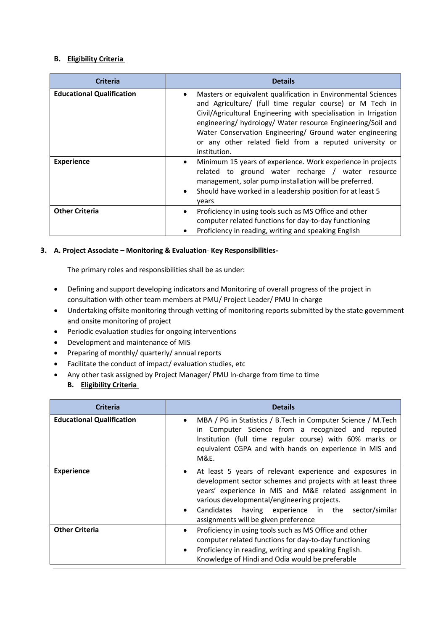### **B. Eligibility Criteria**

| <b>Criteria</b>                  | <b>Details</b>                                                                                                                                                                                                                                                                                                                                                                                      |
|----------------------------------|-----------------------------------------------------------------------------------------------------------------------------------------------------------------------------------------------------------------------------------------------------------------------------------------------------------------------------------------------------------------------------------------------------|
| <b>Educational Qualification</b> | Masters or equivalent qualification in Environmental Sciences<br>and Agriculture/ (full time regular course) or M Tech in<br>Civil/Agricultural Engineering with specialisation in Irrigation<br>engineering/ hydrology/ Water resource Engineering/Soil and<br>Water Conservation Engineering/ Ground water engineering<br>or any other related field from a reputed university or<br>institution. |
| <b>Experience</b>                | Minimum 15 years of experience. Work experience in projects<br>$\bullet$<br>related to ground water recharge / water resource<br>management, solar pump installation will be preferred.<br>Should have worked in a leadership position for at least 5<br>$\bullet$<br>years                                                                                                                         |
| <b>Other Criteria</b>            | Proficiency in using tools such as MS Office and other<br>computer related functions for day-to-day functioning<br>Proficiency in reading, writing and speaking English                                                                                                                                                                                                                             |

## **3. A. Project Associate – Monitoring & Evaluation**- **Key Responsibilities-**

The primary roles and responsibilities shall be as under:

- Defining and support developing indicators and Monitoring of overall progress of the project in consultation with other team members at PMU/ Project Leader/ PMU In-charge
- Undertaking offsite monitoring through vetting of monitoring reports submitted by the state government and onsite monitoring of project
- Periodic evaluation studies for ongoing interventions
- Development and maintenance of MIS
- Preparing of monthly/ quarterly/ annual reports
- Facilitate the conduct of impact/ evaluation studies, etc
- Any other task assigned by Project Manager/ PMU In-charge from time to time

# **B. Eligibility Criteria**

| <b>Criteria</b>                  | <b>Details</b>                                                                                                                                                                                                                                                                                                                                              |
|----------------------------------|-------------------------------------------------------------------------------------------------------------------------------------------------------------------------------------------------------------------------------------------------------------------------------------------------------------------------------------------------------------|
| <b>Educational Qualification</b> | MBA / PG in Statistics / B.Tech in Computer Science / M.Tech<br>$\bullet$<br>in Computer Science from a recognized and reputed<br>Institution (full time regular course) with 60% marks or<br>equivalent CGPA and with hands on experience in MIS and<br>M&E.                                                                                               |
| <b>Experience</b>                | At least 5 years of relevant experience and exposures in<br>$\bullet$<br>development sector schemes and projects with at least three<br>years' experience in MIS and M&E related assignment in<br>various developmental/engineering projects.<br>Candidates<br>having experience in the sector/similar<br>$\bullet$<br>assignments will be given preference |
| <b>Other Criteria</b>            | Proficiency in using tools such as MS Office and other<br>$\bullet$<br>computer related functions for day-to-day functioning<br>Proficiency in reading, writing and speaking English.<br>$\bullet$<br>Knowledge of Hindi and Odia would be preferable                                                                                                       |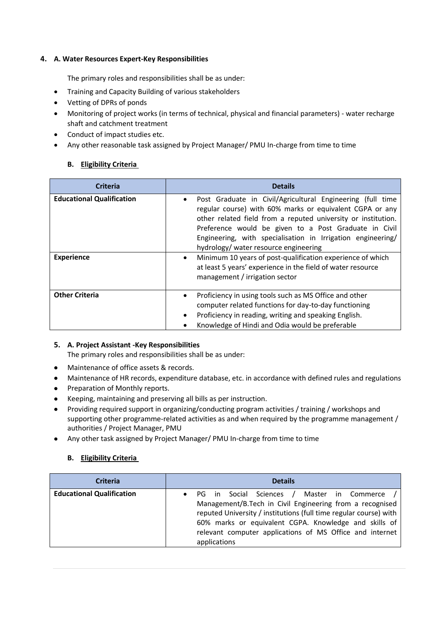### **4. A. Water Resources Expert-Key Responsibilities**

The primary roles and responsibilities shall be as under:

- Training and Capacity Building of various stakeholders
- Vetting of DPRs of ponds
- Monitoring of project works (in terms of technical, physical and financial parameters) water recharge shaft and catchment treatment
- Conduct of impact studies etc.
- Any other reasonable task assigned by Project Manager/ PMU In-charge from time to time

## **B. Eligibility Criteria**

| <b>Criteria</b>                  | <b>Details</b>                                                                                                                                                                                                                                                                                                                                                        |  |
|----------------------------------|-----------------------------------------------------------------------------------------------------------------------------------------------------------------------------------------------------------------------------------------------------------------------------------------------------------------------------------------------------------------------|--|
| <b>Educational Qualification</b> | Post Graduate in Civil/Agricultural Engineering (full time<br>$\bullet$<br>regular course) with 60% marks or equivalent CGPA or any<br>other related field from a reputed university or institution.<br>Preference would be given to a Post Graduate in Civil<br>Engineering, with specialisation in Irrigation engineering/<br>hydrology/ water resource engineering |  |
| <b>Experience</b>                | Minimum 10 years of post-qualification experience of which<br>$\bullet$<br>at least 5 years' experience in the field of water resource<br>management / irrigation sector                                                                                                                                                                                              |  |
| <b>Other Criteria</b>            | Proficiency in using tools such as MS Office and other<br>$\bullet$<br>computer related functions for day-to-day functioning<br>Proficiency in reading, writing and speaking English.<br>Knowledge of Hindi and Odia would be preferable                                                                                                                              |  |

# **5. A. Project Assistant -Key Responsibilities**

The primary roles and responsibilities shall be as under:

- Maintenance of office assets & records.
- Maintenance of HR records, expenditure database, etc. in accordance with defined rules and regulations
- Preparation of Monthly reports.
- Keeping, maintaining and preserving all bills as per instruction.
- Providing required support in organizing/conducting program activities / training / workshops and supporting other programme-related activities as and when required by the programme management / authorities / Project Manager, PMU
- Any other task assigned by Project Manager/ PMU In-charge from time to time

# **B. Eligibility Criteria**

| <b>Criteria</b>                  | <b>Details</b>                                                                                                                                                                                                                                                                                                         |  |
|----------------------------------|------------------------------------------------------------------------------------------------------------------------------------------------------------------------------------------------------------------------------------------------------------------------------------------------------------------------|--|
| <b>Educational Qualification</b> | Social Sciences /<br>Master in Commerce<br>PG in<br>Management/B.Tech in Civil Engineering from a recognised<br>reputed University / institutions (full time regular course) with<br>60% marks or equivalent CGPA. Knowledge and skills of<br>relevant computer applications of MS Office and internet<br>applications |  |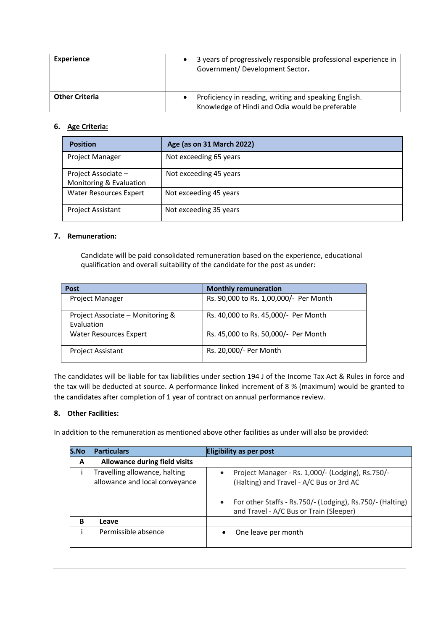| <b>Experience</b>     | 3 years of progressively responsible professional experience in<br>Government/Development Sector.                     |
|-----------------------|-----------------------------------------------------------------------------------------------------------------------|
| <b>Other Criteria</b> | Proficiency in reading, writing and speaking English.<br>$\bullet$<br>Knowledge of Hindi and Odia would be preferable |

## **6. Age Criteria:**

| <b>Position</b>                                | Age (as on 31 March 2022) |
|------------------------------------------------|---------------------------|
| <b>Project Manager</b>                         | Not exceeding 65 years    |
| Project Associate -<br>Monitoring & Evaluation | Not exceeding 45 years    |
| <b>Water Resources Expert</b>                  | Not exceeding 45 years    |
| <b>Project Assistant</b>                       | Not exceeding 35 years    |

## **7. Remuneration:**

Candidate will be paid consolidated remuneration based on the experience, educational qualification and overall suitability of the candidate for the post as under:

| <b>Post</b>                                    | <b>Monthly remuneration</b>            |
|------------------------------------------------|----------------------------------------|
| <b>Project Manager</b>                         | Rs. 90,000 to Rs. 1,00,000/- Per Month |
| Project Associate - Monitoring &<br>Evaluation | Rs. 40,000 to Rs. 45,000/- Per Month   |
| <b>Water Resources Expert</b>                  | Rs. 45,000 to Rs. 50,000/- Per Month   |
| <b>Project Assistant</b>                       | Rs. 20,000/- Per Month                 |

The candidates will be liable for tax liabilities under section 194 J of the Income Tax Act & Rules in force and the tax will be deducted at source. A performance linked increment of 8 % (maximum) would be granted to the candidates after completion of 1 year of contract on annual performance review.

### **8. Other Facilities:**

In addition to the remuneration as mentioned above other facilities as under will also be provided:

| S.No | <b>Particulars</b>                                              | Eligibility as per post                                                                                                                                                                                                         |
|------|-----------------------------------------------------------------|---------------------------------------------------------------------------------------------------------------------------------------------------------------------------------------------------------------------------------|
| A    | <b>Allowance during field visits</b>                            |                                                                                                                                                                                                                                 |
|      | Travelling allowance, halting<br>allowance and local conveyance | Project Manager - Rs. 1,000/- (Lodging), Rs.750/-<br>$\bullet$<br>(Halting) and Travel - A/C Bus or 3rd AC<br>For other Staffs - Rs.750/- (Lodging), Rs.750/- (Halting)<br>$\bullet$<br>and Travel - A/C Bus or Train (Sleeper) |
| B    | Leave                                                           |                                                                                                                                                                                                                                 |
|      | Permissible absence                                             | One leave per month                                                                                                                                                                                                             |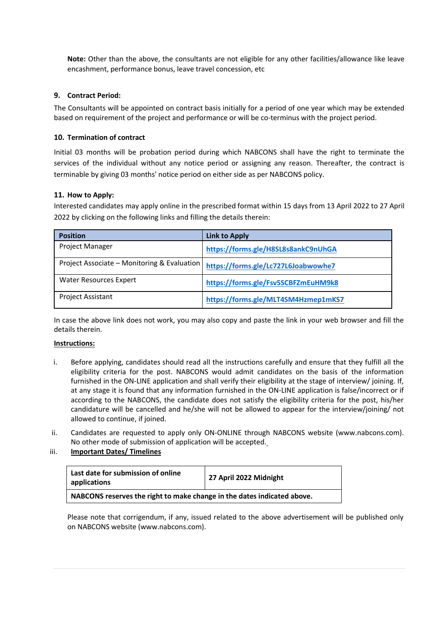**Note:** Other than the above, the consultants are not eligible for any other facilities/allowance like leave encashment, performance bonus, leave travel concession, etc

#### **9. Contract Period:**

The Consultants will be appointed on contract basis initially for a period of one year which may be extended based on requirement of the project and performance or will be co-terminus with the project period.

#### **10. Termination of contract**

Initial 03 months will be probation period during which NABCONS shall have the right to terminate the services of the individual without any notice period or assigning any reason. Thereafter, the contract is terminable by giving 03 months' notice period on either side as per NABCONS policy.

### **11. How to Apply:**

Interested candidates may apply online in the prescribed format within 15 days from 13 April 2022 to 27 April 2022 by clicking on the following links and filling the details therein:

| <b>Position</b>                             | Link to Apply                       |
|---------------------------------------------|-------------------------------------|
| Project Manager                             | https://forms.gle/H8SL8s8ankC9nUhGA |
| Project Associate – Monitoring & Evaluation | https://forms.gle/Lc727L6Joabwowhe7 |
| <b>Water Resources Expert</b>               | https://forms.gle/Fsv5SCBFZmEuHM9k8 |
| <b>Project Assistant</b>                    | https://forms.gle/MLT4SM4Hzmep1mKS7 |

In case the above link does not work, you may also copy and paste the link in your web browser and fill the details therein.

#### **Instructions:**

- i. Before applying, candidates should read all the instructions carefully and ensure that they fulfill all the eligibility criteria for the post. NABCONS would admit candidates on the basis of the information furnished in the ON-LINE application and shall verify their eligibility at the stage of interview/ joining. If, at any stage it is found that any information furnished in the ON-LINE application is false/incorrect or if according to the NABCONS, the candidate does not satisfy the eligibility criteria for the post, his/her candidature will be cancelled and he/she will not be allowed to appear for the interview/joining/ not allowed to continue, if joined.
- ii. Candidates are requested to apply only ON-ONLINE through NABCONS website (www.nabcons.com). No other mode of submission of application will be accepted.

### iii. **Important Dates/ Timelines**

| Last date for submission of online<br>applications                      | 27 April 2022 Midnight |
|-------------------------------------------------------------------------|------------------------|
| NABCONS reserves the right to make change in the dates indicated above. |                        |

Please note that corrigendum, if any, issued related to the above advertisement will be published only on NABCONS website (www.nabcons.com).